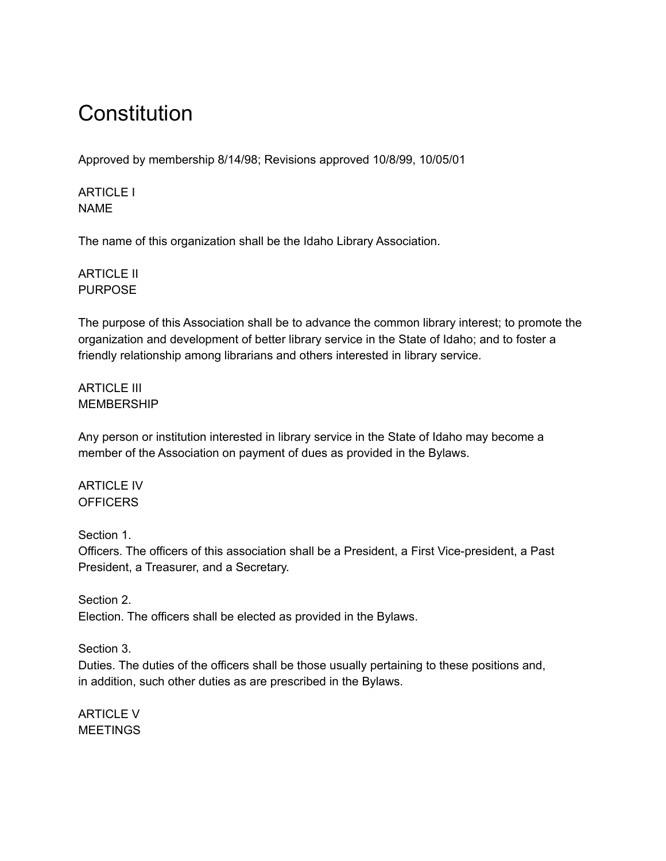# **Constitution**

Approved by membership 8/14/98; Revisions approved 10/8/99, 10/05/01

ARTICLE I NAME

The name of this organization shall be the Idaho Library Association.

ARTICLE II PURPOSE

The purpose of this Association shall be to advance the common library interest; to promote the organization and development of better library service in the State of Idaho; and to foster a friendly relationship among librarians and others interested in library service.

ARTICLE III **MEMBERSHIP** 

Any person or institution interested in library service in the State of Idaho may become a member of the Association on payment of dues as provided in the Bylaws.

ARTICLE IV **OFFICERS** 

Section 1.

Officers. The officers of this association shall be a President, a First Vice-president, a Past President, a Treasurer, and a Secretary.

Section 2. Election. The officers shall be elected as provided in the Bylaws.

Section 3.

Duties. The duties of the officers shall be those usually pertaining to these positions and, in addition, such other duties as are prescribed in the Bylaws.

ARTICLE V **MEETINGS**